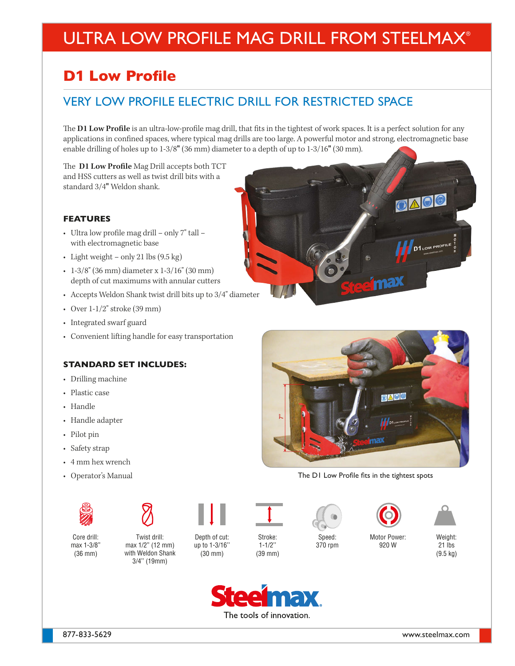# ULTRA LOW PROFILE MAG DRILL FROM STEELMAX®

## **D**1 **Low Profile**

### VERY LOW PROFILE ELECTRIC DRILL FOR RESTRICTED SPACE

The **D1 Low Profile** is an ultra-low-profile mag drill, that fits in the tightest of work spaces. It is a perfect solution for any applications in confined spaces, where typical mag drills are too large. A powerful motor and strong, electromagnetic base enable drilling of holes up to 1-3/8" (36 mm) diameter to a depth of up to 1-3/16" (30 mm).

The **D1 Low Profile** Mag Drill accepts both TCT and HSS cutters as well as twist drill bits with a standard 3/4" Weldon shank.

#### **FEATURES**

- Ultra low profile mag drill only 7" tall with electromagnetic base
- Light weight only 21 lbs (9.5 kg)
- 1-3/8" (36 mm) diameter x 1-3/16" (30 mm) depth of cut maximums with annular cutters
- Accepts Weldon Shank twist drill bits up to 3/4" diameter
- Over  $1-1/2$ " stroke (39 mm)
- Integrated swarf guard
- Convenient lifting handle for easy transportation

#### **STANDARD SET INCLUDES:**

- Drilling machine
- Plastic case
- Handle
- Handle adapter
- Pilot pin
- Safety strap
- 4 mm hex wrench
- Operator's Manual





Core drill: max 1-3/8" (36 mm)

Twist drill: max 1/2" (12 mm) with Weldon Shank 3/4'' (19mm)

Depth of cut: up to 1-3/16'' (30 mm)



Stroke: 1-1/2''

(39 mm)

Speed: 370 rpm

Motor Power: 920 W



OAO

**D1** LOW PROFILE <sup>N</sup>O

Weight: 21 lbs (9.5 kg)





The D1 Low Profile fits in the tightest spots